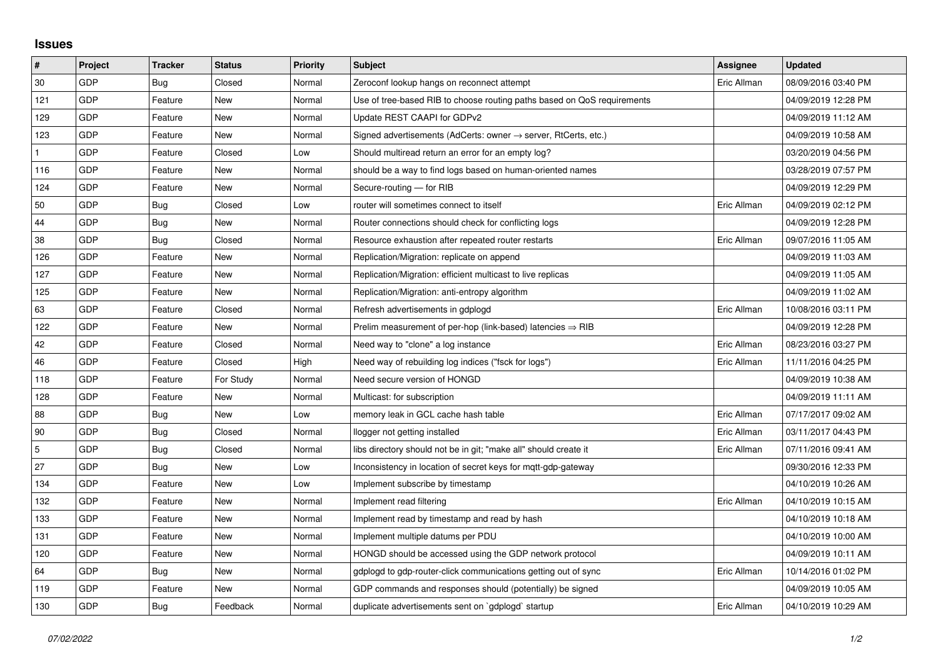## **Issues**

| #            | Project    | <b>Tracker</b> | <b>Status</b> | <b>Priority</b> | <b>Subject</b>                                                             | <b>Assignee</b> | <b>Updated</b>      |
|--------------|------------|----------------|---------------|-----------------|----------------------------------------------------------------------------|-----------------|---------------------|
| 30           | GDP        | Bug            | Closed        | Normal          | Zeroconf lookup hangs on reconnect attempt                                 | Eric Allman     | 08/09/2016 03:40 PM |
| 121          | GDP        | Feature        | New           | Normal          | Use of tree-based RIB to choose routing paths based on QoS requirements    |                 | 04/09/2019 12:28 PM |
| 129          | GDP        | Feature        | New           | Normal          | Update REST CAAPI for GDPv2                                                |                 | 04/09/2019 11:12 AM |
| 123          | GDP        | Feature        | <b>New</b>    | Normal          | Signed advertisements (AdCerts: owner $\rightarrow$ server, RtCerts, etc.) |                 | 04/09/2019 10:58 AM |
| $\mathbf{1}$ | GDP        | Feature        | Closed        | Low             | Should multiread return an error for an empty log?                         |                 | 03/20/2019 04:56 PM |
| 116          | GDP        | Feature        | New           | Normal          | should be a way to find logs based on human-oriented names                 |                 | 03/28/2019 07:57 PM |
| 124          | GDP        | Feature        | New           | Normal          | Secure-routing - for RIB                                                   |                 | 04/09/2019 12:29 PM |
| 50           | GDP        | <b>Bug</b>     | Closed        | Low             | router will sometimes connect to itself                                    | Eric Allman     | 04/09/2019 02:12 PM |
| 44           | <b>GDP</b> | Bug            | New           | Normal          | Router connections should check for conflicting logs                       |                 | 04/09/2019 12:28 PM |
| 38           | GDP        | Bug            | Closed        | Normal          | Resource exhaustion after repeated router restarts                         | Eric Allman     | 09/07/2016 11:05 AM |
| 126          | GDP        | Feature        | <b>New</b>    | Normal          | Replication/Migration: replicate on append                                 |                 | 04/09/2019 11:03 AM |
| 127          | GDP        | Feature        | New           | Normal          | Replication/Migration: efficient multicast to live replicas                |                 | 04/09/2019 11:05 AM |
| 125          | GDP        | Feature        | <b>New</b>    | Normal          | Replication/Migration: anti-entropy algorithm                              |                 | 04/09/2019 11:02 AM |
| 63           | GDP        | Feature        | Closed        | Normal          | Refresh advertisements in gdplogd                                          | Eric Allman     | 10/08/2016 03:11 PM |
| 122          | GDP        | Feature        | New           | Normal          | Prelim measurement of per-hop (link-based) latencies $\Rightarrow$ RIB     |                 | 04/09/2019 12:28 PM |
| 42           | GDP        | Feature        | Closed        | Normal          | Need way to "clone" a log instance                                         | Eric Allman     | 08/23/2016 03:27 PM |
| 46           | GDP        | Feature        | Closed        | High            | Need way of rebuilding log indices ("fsck for logs")                       | Eric Allman     | 11/11/2016 04:25 PM |
| 118          | GDP        | Feature        | For Study     | Normal          | Need secure version of HONGD                                               |                 | 04/09/2019 10:38 AM |
| 128          | GDP        | Feature        | New           | Normal          | Multicast: for subscription                                                |                 | 04/09/2019 11:11 AM |
| 88           | GDP        | Bug            | New           | Low             | memory leak in GCL cache hash table                                        | Eric Allman     | 07/17/2017 09:02 AM |
| 90           | GDP        | <b>Bug</b>     | Closed        | Normal          | llogger not getting installed                                              | Eric Allman     | 03/11/2017 04:43 PM |
| 5            | GDP        | <b>Bug</b>     | Closed        | Normal          | libs directory should not be in git; "make all" should create it           | Eric Allman     | 07/11/2016 09:41 AM |
| 27           | GDP        | Bug            | New           | Low             | Inconsistency in location of secret keys for mgtt-gdp-gateway              |                 | 09/30/2016 12:33 PM |
| 134          | GDP        | Feature        | New           | Low             | Implement subscribe by timestamp                                           |                 | 04/10/2019 10:26 AM |
| 132          | GDP        | Feature        | New           | Normal          | Implement read filtering                                                   | Eric Allman     | 04/10/2019 10:15 AM |
| 133          | GDP        | Feature        | New           | Normal          | Implement read by timestamp and read by hash                               |                 | 04/10/2019 10:18 AM |
| 131          | GDP        | Feature        | New           | Normal          | Implement multiple datums per PDU                                          |                 | 04/10/2019 10:00 AM |
| 120          | GDP        | Feature        | New           | Normal          | HONGD should be accessed using the GDP network protocol                    |                 | 04/09/2019 10:11 AM |
| 64           | GDP        | Bug            | New           | Normal          | gdplogd to gdp-router-click communications getting out of sync             | Eric Allman     | 10/14/2016 01:02 PM |
| 119          | GDP        | Feature        | New           | Normal          | GDP commands and responses should (potentially) be signed                  |                 | 04/09/2019 10:05 AM |
| 130          | GDP        | Bug            | Feedback      | Normal          | duplicate advertisements sent on `gdplogd` startup                         | Eric Allman     | 04/10/2019 10:29 AM |